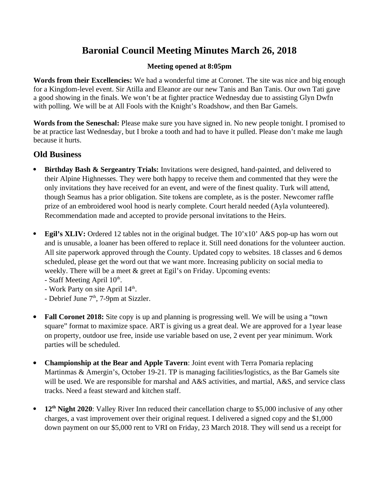# **Baronial Council Meeting Minutes March 26, 2018**

# **Meeting opened at 8:05pm**

**Words from their Excellencies:** We had a wonderful time at Coronet. The site was nice and big enough for a Kingdom-level event. Sir Atilla and Eleanor are our new Tanis and Ban Tanis. Our own Tati gave a good showing in the finals. We won't be at fighter practice Wednesday due to assisting Glyn Dwfn with polling. We will be at All Fools with the Knight's Roadshow, and then Bar Gamels.

**Words from the Seneschal:** Please make sure you have signed in. No new people tonight. I promised to be at practice last Wednesday, but I broke a tooth and had to have it pulled. Please don't make me laugh because it hurts.

# **Old Business**

- **Birthday Bash & Sergeantry Trials:** Invitations were designed, hand-painted, and delivered to their Alpine Highnesses. They were both happy to receive them and commented that they were the only invitations they have received for an event, and were of the finest quality. Turk will attend, though Seamus has a prior obligation. Site tokens are complete, as is the poster. Newcomer raffle prize of an embroidered wool hood is nearly complete. Court herald needed (Ayla volunteered). Recommendation made and accepted to provide personal invitations to the Heirs.
- **Egil's XLIV:** Ordered 12 tables not in the original budget. The 10'x10' A&S pop-up has worn out and is unusable, a loaner has been offered to replace it. Still need donations for the volunteer auction. All site paperwork approved through the County. Updated copy to websites. 18 classes and 6 demos scheduled, please get the word out that we want more. Increasing publicity on social media to weekly. There will be a meet & greet at Egil's on Friday. Upcoming events:
	- $-$  Staff Meeting April  $10<sup>th</sup>$ . .<br>1980 - Paul Barbara, politikar eta biztanleria eta biztanleria eta biztanleria eta biztanleria eta biztanleri
	- Work Party on site April  $14<sup>th</sup>$ . . A construction of the construction of the construction of the construction of the construction of the construction of the construction of the construction of the construction of the construction of the construction of th
	- Debrief June  $7<sup>th</sup>$ , 7-9pm at Sizzler.
- **Fall Coronet 2018:** Site copy is up and planning is progressing well. We will be using a "town square" format to maximize space. ART is giving us a great deal. We are approved for a 1year lease on property, outdoor use free, inside use variable based on use, 2 event per year minimum. Work parties will be scheduled.
- **Championship at the Bear and Apple Tavern**: Joint event with Terra Pomaria replacing Martinmas & Amergin's, October 19-21. TP is managing facilities/logistics, as the Bar Gamels site will be used. We are responsible for marshal and A&S activities, and martial, A&S, and service class tracks. Need a feast steward and kitchen staff.
- **12th Night 2020**: Valley River Inn reduced their cancellation charge to \$5,000 inclusive of any other charges, a vast improvement over their original request. I delivered a signed copy and the \$1,000 down payment on our \$5,000 rent to VRI on Friday, 23 March 2018. They will send us a receipt for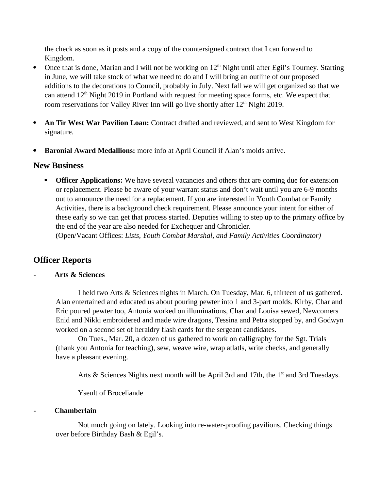the check as soon as it posts and a copy of the countersigned contract that I can forward to Kingdom.

- Once that is done, Marian and I will not be working on  $12<sup>th</sup>$  Night until after Egil's Tourney. Starting in June, we will take stock of what we need to do and I will bring an outline of our proposed additions to the decorations to Council, probably in July. Next fall we will get organized so that we can attend  $12<sup>th</sup>$  Night 2019 in Portland with request for meeting space forms, etc. We expect that room reservations for Valley River Inn will go live shortly after 12<sup>th</sup> Night 2019.
- **An Tir West War Pavilion Loan:** Contract drafted and reviewed, and sent to West Kingdom for signature.
- **Baronial Award Medallions:** more info at April Council if Alan's molds arrive.

# **New Business**

**• Officer Applications:** We have several vacancies and others that are coming due for extension or replacement. Please be aware of your warrant status and don't wait until you are 6-9 months out to announce the need for a replacement. If you are interested in Youth Combat or Family Activities, there is a background check requirement. Please announce your intent for either of these early so we can get that process started. Deputies willing to step up to the primary office by the end of the year are also needed for Exchequer and Chronicler.

(Open/Vacant Offices: *Lists, Youth Combat Marshal, and Family Activities Coordinator)*

# **Officer Reports**

# - **Arts & Sciences**

I held two Arts & Sciences nights in March. On Tuesday, Mar. 6, thirteen of us gathered. Alan entertained and educated us about pouring pewter into 1 and 3-part molds. Kirby, Char and Eric poured pewter too, Antonia worked on illuminations, Char and Louisa sewed, Newcomers Enid and Nikki embroidered and made wire dragons, Tessina and Petra stopped by, and Godwyn worked on a second set of heraldry flash cards for the sergeant candidates.

On Tues., Mar. 20, a dozen of us gathered to work on calligraphy for the Sgt. Trials (thank you Antonia for teaching), sew, weave wire, wrap atlatls, write checks, and generally have a pleasant evening.

Arts & Sciences Nights next month will be April 3rd and 17th, the 1<sup>st</sup> and 3rd Tuesdays.

Yseult of Broceliande

# **- Chamberlain**

Not much going on lately. Looking into re-water-proofing pavilions. Checking things over before Birthday Bash & Egil's.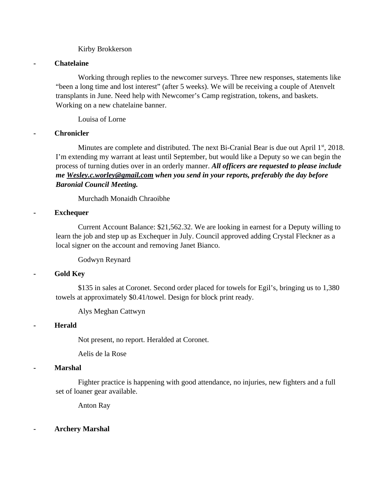#### Kirby Brokkerson

#### **- Chatelaine**

Working through replies to the newcomer surveys. Three new responses, statements like "been a long time and lost interest" (after 5 weeks). We will be receiving a couple of Atenvelt transplants in June. Need help with Newcomer's Camp registration, tokens, and baskets. Working on a new chatelaine banner.

Louisa of Lorne

#### **- Chronicler**

Minutes are complete and distributed. The next Bi-Cranial Bear is due out April  $1<sup>st</sup>$ , 2018. I'm extending my warrant at least until September, but would like a Deputy so we can begin the process of turning duties over in an orderly manner. *All officers are requested to please include me [Wesley.c.worley@gmail.com](mailto:Wesley.c.worley@gmail.com) when you send in your reports, preferably the day before Baronial Council Meeting.* 

Murchadh Monaidh Chraoibhe

#### **- Exchequer**

Current Account Balance: \$21,562.32. We are looking in earnest for a Deputy willing to learn the job and step up as Exchequer in July. Council approved adding Crystal Fleckner as a local signer on the account and removing Janet Bianco.

Godwyn Reynard

# **- Gold Key**

\$135 in sales at Coronet. Second order placed for towels for Egil's, bringing us to 1,380 towels at approximately \$0.41/towel. Design for block print ready.

Alys Meghan Cattwyn

# **- Herald**

Not present, no report. Heralded at Coronet.

Aelis de la Rose

#### **- Marshal**

Fighter practice is happening with good attendance, no injuries, new fighters and a full set of loaner gear available.

Anton Ray

**- Archery Marshal**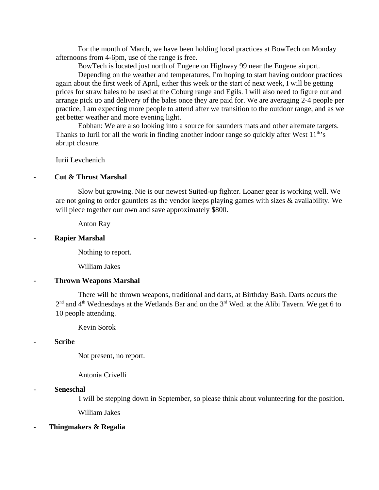For the month of March, we have been holding local practices at BowTech on Monday afternoons from 4-6pm, use of the range is free.

BowTech is located just north of Eugene on Highway 99 near the Eugene airport.

Depending on the weather and temperatures, I'm hoping to start having outdoor practices again about the first week of April, either this week or the start of next week, I will be getting prices for straw bales to be used at the Coburg range and Egils. I will also need to figure out and arrange pick up and delivery of the bales once they are paid for. We are averaging 2-4 people per practice, I am expecting more people to attend after we transition to the outdoor range, and as we get better weather and more evening light.

Eobhan: We are also looking into a source for saunders mats and other alternate targets. Thanks to Iurii for all the work in finding another indoor range so quickly after West  $11<sup>th</sup>$ 's abrupt closure.

Iurii Levchenich

#### **- Cut & Thrust Marshal**

Slow but growing. Nie is our newest Suited-up fighter. Loaner gear is working well. We are not going to order gauntlets as the vendor keeps playing games with sizes & availability. We will piece together our own and save approximately \$800.

Anton Ray

#### **- Rapier Marshal**

Nothing to report.

William Jakes

#### **- Thrown Weapons Marshal**

There will be thrown weapons, traditional and darts, at Birthday Bash. Darts occurs the  $2<sup>nd</sup>$  and 4<sup>th</sup> Wednesdays at the Wetlands Bar and on the 3<sup>rd</sup> Wed. at the Alibi Tavern. We get 6 to 10 people attending.

Kevin Sorok

#### **- Scribe**

Not present, no report.

Antonia Crivelli

#### **- Seneschal**

I will be stepping down in September, so please think about volunteering for the position.

William Jakes

#### **- Thingmakers & Regalia**